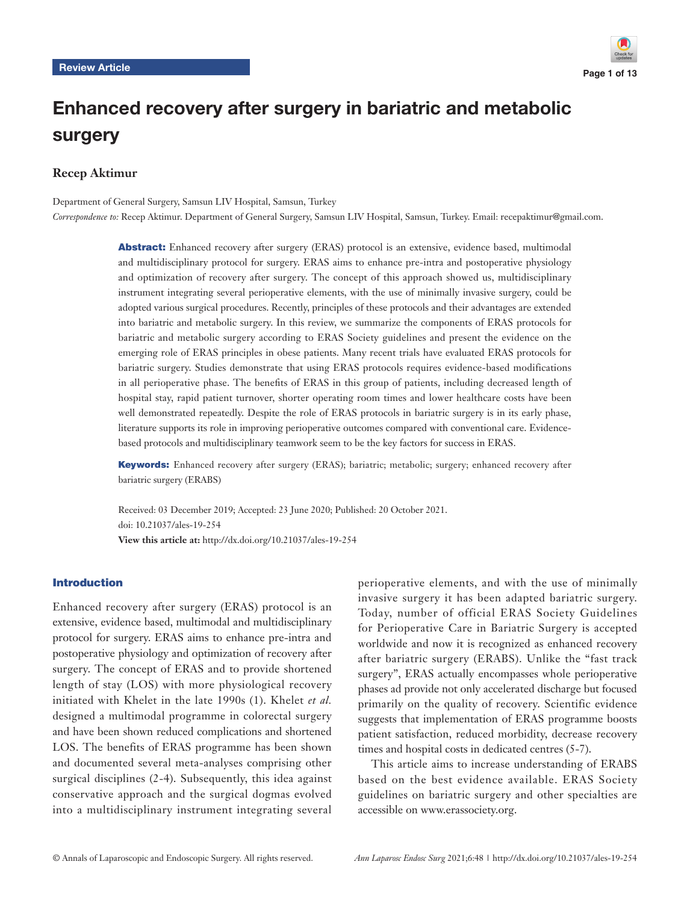

# Enhanced recovery after surgery in bariatric and metabolic surgery

# **Recep Aktimur**

Department of General Surgery, Samsun LIV Hospital, Samsun, Turkey *Correspondence to:* Recep Aktimur. Department of General Surgery, Samsun LIV Hospital, Samsun, Turkey. Email: recepaktimur@gmail.com.

> Abstract: Enhanced recovery after surgery (ERAS) protocol is an extensive, evidence based, multimodal and multidisciplinary protocol for surgery. ERAS aims to enhance pre-intra and postoperative physiology and optimization of recovery after surgery. The concept of this approach showed us, multidisciplinary instrument integrating several perioperative elements, with the use of minimally invasive surgery, could be adopted various surgical procedures. Recently, principles of these protocols and their advantages are extended into bariatric and metabolic surgery. In this review, we summarize the components of ERAS protocols for bariatric and metabolic surgery according to ERAS Society guidelines and present the evidence on the emerging role of ERAS principles in obese patients. Many recent trials have evaluated ERAS protocols for bariatric surgery. Studies demonstrate that using ERAS protocols requires evidence-based modifications in all perioperative phase. The benefits of ERAS in this group of patients, including decreased length of hospital stay, rapid patient turnover, shorter operating room times and lower healthcare costs have been well demonstrated repeatedly. Despite the role of ERAS protocols in bariatric surgery is in its early phase, literature supports its role in improving perioperative outcomes compared with conventional care. Evidencebased protocols and multidisciplinary teamwork seem to be the key factors for success in ERAS.

> Keywords: Enhanced recovery after surgery (ERAS); bariatric; metabolic; surgery; enhanced recovery after bariatric surgery (ERABS)

Received: 03 December 2019; Accepted: 23 June 2020; Published: 20 October 2021. doi: 10.21037/ales-19-254 **View this article at:** http://dx.doi.org/10.21037/ales-19-254

# Introduction

Enhanced recovery after surgery (ERAS) protocol is an extensive, evidence based, multimodal and multidisciplinary protocol for surgery. ERAS aims to enhance pre-intra and postoperative physiology and optimization of recovery after surgery. The concept of ERAS and to provide shortened length of stay (LOS) with more physiological recovery initiated with Khelet in the late 1990s (1). Khelet *et al.* designed a multimodal programme in colorectal surgery and have been shown reduced complications and shortened LOS. The benefits of ERAS programme has been shown and documented several meta-analyses comprising other surgical disciplines (2-4). Subsequently, this idea against conservative approach and the surgical dogmas evolved into a multidisciplinary instrument integrating several

perioperative elements, and with the use of minimally invasive surgery it has been adapted bariatric surgery. Today, number of official ERAS Society Guidelines for Perioperative Care in Bariatric Surgery is accepted worldwide and now it is recognized as enhanced recovery after bariatric surgery (ERABS). Unlike the "fast track surgery", ERAS actually encompasses whole perioperative phases ad provide not only accelerated discharge but focused primarily on the quality of recovery. Scientific evidence suggests that implementation of ERAS programme boosts patient satisfaction, reduced morbidity, decrease recovery times and hospital costs in dedicated centres (5-7).

This article aims to increase understanding of ERABS based on the best evidence available. ERAS Society guidelines on bariatric surgery and other specialties are accessible on [www.erassociety.org.](http://www.erassociety.org)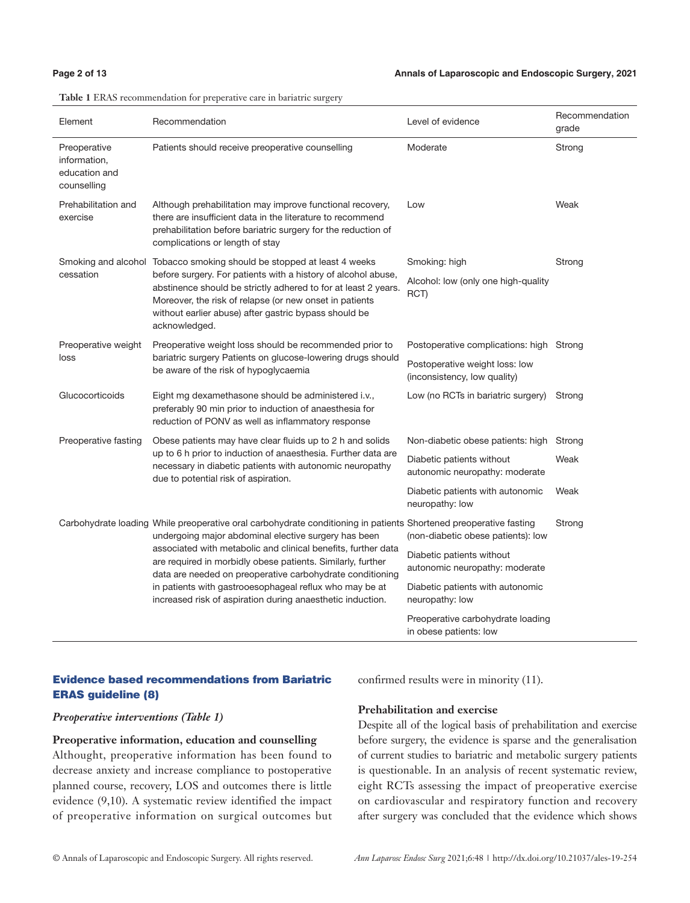**Table 1** ERAS recommendation for preperative care in bariatric surgery

| Element                                                      | Recommendation                                                                                                                                                                                                                                                                                                                                                                                                                                                                                  | Level of evidence                                              | Recommendation<br>grade |  |
|--------------------------------------------------------------|-------------------------------------------------------------------------------------------------------------------------------------------------------------------------------------------------------------------------------------------------------------------------------------------------------------------------------------------------------------------------------------------------------------------------------------------------------------------------------------------------|----------------------------------------------------------------|-------------------------|--|
| Preoperative<br>information,<br>education and<br>counselling | Patients should receive preoperative counselling                                                                                                                                                                                                                                                                                                                                                                                                                                                | Moderate                                                       | Strong                  |  |
| Prehabilitation and<br>exercise                              | Although prehabilitation may improve functional recovery,<br>there are insufficient data in the literature to recommend<br>prehabilitation before bariatric surgery for the reduction of<br>complications or length of stay                                                                                                                                                                                                                                                                     | Low                                                            | Weak                    |  |
| cessation                                                    | Smoking and alcohol Tobacco smoking should be stopped at least 4 weeks<br>before surgery. For patients with a history of alcohol abuse,<br>abstinence should be strictly adhered to for at least 2 years.<br>Moreover, the risk of relapse (or new onset in patients<br>without earlier abuse) after gastric bypass should be<br>acknowledged.                                                                                                                                                  | Smoking: high                                                  | Strong                  |  |
|                                                              |                                                                                                                                                                                                                                                                                                                                                                                                                                                                                                 | Alcohol: low (only one high-quality<br>RCT)                    |                         |  |
| Preoperative weight                                          | Preoperative weight loss should be recommended prior to<br>bariatric surgery Patients on glucose-lowering drugs should<br>be aware of the risk of hypoglycaemia                                                                                                                                                                                                                                                                                                                                 | Postoperative complications: high Strong                       |                         |  |
| loss                                                         |                                                                                                                                                                                                                                                                                                                                                                                                                                                                                                 | Postoperative weight loss: low<br>(inconsistency, low quality) |                         |  |
| Glucocorticoids                                              | Eight mg dexamethasone should be administered i.v.,<br>preferably 90 min prior to induction of anaesthesia for<br>reduction of PONV as well as inflammatory response                                                                                                                                                                                                                                                                                                                            | Low (no RCTs in bariatric surgery)                             | Strong                  |  |
| Preoperative fasting                                         | Obese patients may have clear fluids up to 2 h and solids<br>up to 6 h prior to induction of anaesthesia. Further data are<br>necessary in diabetic patients with autonomic neuropathy<br>due to potential risk of aspiration.                                                                                                                                                                                                                                                                  | Non-diabetic obese patients: high                              | Strong                  |  |
|                                                              |                                                                                                                                                                                                                                                                                                                                                                                                                                                                                                 | Diabetic patients without<br>autonomic neuropathy: moderate    | Weak                    |  |
|                                                              |                                                                                                                                                                                                                                                                                                                                                                                                                                                                                                 | Diabetic patients with autonomic<br>neuropathy: low            | Weak                    |  |
|                                                              | Carbohydrate loading While preoperative oral carbohydrate conditioning in patients Shortened preoperative fasting<br>undergoing major abdominal elective surgery has been<br>associated with metabolic and clinical benefits, further data<br>are required in morbidly obese patients. Similarly, further<br>data are needed on preoperative carbohydrate conditioning<br>in patients with gastrooesophageal reflux who may be at<br>increased risk of aspiration during anaesthetic induction. | (non-diabetic obese patients): low                             | Strong                  |  |
|                                                              |                                                                                                                                                                                                                                                                                                                                                                                                                                                                                                 | Diabetic patients without<br>autonomic neuropathy: moderate    |                         |  |
|                                                              |                                                                                                                                                                                                                                                                                                                                                                                                                                                                                                 | Diabetic patients with autonomic<br>neuropathy: low            |                         |  |
|                                                              |                                                                                                                                                                                                                                                                                                                                                                                                                                                                                                 | Preoperative carbohydrate loading<br>in obese patients: low    |                         |  |

# Evidence based recommendations from Bariatric ERAS guideline (8)

confirmed results were in minority (11).

#### *Preoperative interventions (Table 1)*

**Preoperative information, education and counselling** Althought, preoperative information has been found to decrease anxiety and increase compliance to postoperative planned course, recovery, LOS and outcomes there is little evidence (9,10). A systematic review identified the impact of preoperative information on surgical outcomes but

### **Prehabilitation and exercise**

Despite all of the logical basis of prehabilitation and exercise before surgery, the evidence is sparse and the generalisation of current studies to bariatric and metabolic surgery patients is questionable. In an analysis of recent systematic review, eight RCTs assessing the impact of preoperative exercise on cardiovascular and respiratory function and recovery after surgery was concluded that the evidence which shows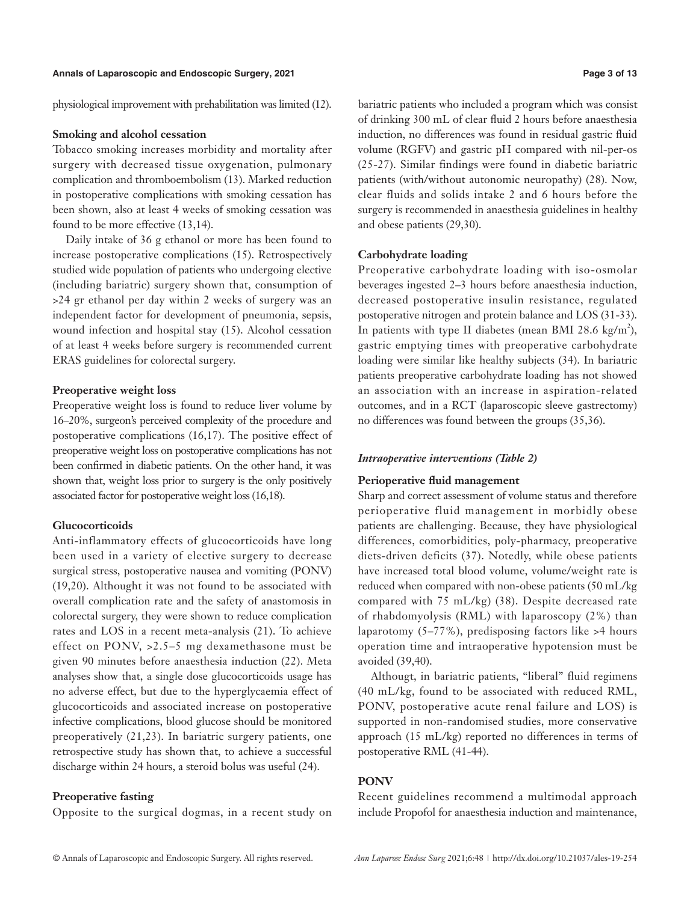physiological improvement with prehabilitation was limited [\(12](file:///D:/1-%e8%bf%9e%e7%89%88/ATM-%e5%8d%8a%e6%9c%88%e5%88%8a/%e2%80%9cATM-V8N13%20(Jul%202020)%e2%80%9d%e6%96%87%e4%bb%b6%e5%a4%b9/l )).

#### **Smoking and alcohol cessation**

Tobacco smoking increases morbidity and mortality after surgery with decreased tissue oxygenation, pulmonary complication and thromboembolism (13). Marked reduction in postoperative complications with smoking cessation has been shown, also at least 4 weeks of smoking cessation was found to be more effective (13,14).

Daily intake of 36 g ethanol or more has been found to increase postoperative complications (15). Retrospectively studied wide population of patients who undergoing elective (including bariatric) surgery shown that, consumption of >24 gr ethanol per day within 2 weeks of surgery was an independent factor for development of pneumonia, sepsis, wound infection and hospital stay (15). Alcohol cessation of at least 4 weeks before surgery is recommended current ERAS guidelines for colorectal surgery.

### **Preoperative weight loss**

Preoperative weight loss is found to reduce liver volume by 16–20%, surgeon's perceived complexity of the procedure and postoperative complications (16,17). The positive effect of preoperative weight loss on postoperative complications has not been confirmed in diabetic patients. On the other hand, it was shown that, weight loss prior to surgery is the only positively associated factor for postoperative weight loss (16,18).

#### **Glucocorticoids**

Anti-inflammatory effects of glucocorticoids have long been used in a variety of elective surgery to decrease surgical stress, postoperative nausea and vomiting (PONV) (19,20). Althought it was not found to be associated with overall complication rate and the safety of anastomosis in colorectal surgery, they were shown to reduce complication rates and LOS in a recent meta-analysis (21). To achieve effect on PONV, >2.5–5 mg dexamethasone must be given 90 minutes before anaesthesia induction (22). Meta analyses show that, a single dose glucocorticoids usage has no adverse effect, but due to the hyperglycaemia effect of glucocorticoids and associated increase on postoperative infective complications, blood glucose should be monitored preoperatively (21,23). In bariatric surgery patients, one retrospective study has shown that, to achieve a successful discharge within 24 hours, a steroid bolus was useful (24).

# **Preoperative fasting**

Opposite to the surgical dogmas, in a recent study on

bariatric patients who included a program which was consist of drinking 300 mL of clear fluid 2 hours before anaesthesia induction, no differences was found in residual gastric fluid volume (RGFV) and gastric pH compared with nil-per-os (25-27). Similar findings were found in diabetic bariatric patients (with/without autonomic neuropathy) (28). Now, clear fluids and solids intake 2 and 6 hours before the surgery is recommended in anaesthesia guidelines in healthy and obese patients (29,30).

#### **Carbohydrate loading**

Preoperative carbohydrate loading with iso-osmolar beverages ingested 2–3 hours before anaesthesia induction, decreased postoperative insulin resistance, regulated postoperative nitrogen and protein balance and LOS (31-33). In patients with type II diabetes (mean BMI 28.6 kg/m<sup>2</sup>), gastric emptying times with preoperative carbohydrate loading were similar like healthy subjects (34). In bariatric patients preoperative carbohydrate loading has not showed an association with an increase in aspiration-related outcomes, and in a RCT (laparoscopic sleeve gastrectomy) no differences was found between the groups (35,36).

#### *Intraoperative interventions (Table 2)*

#### **Perioperative fluid management**

Sharp and correct assessment of volume status and therefore perioperative fluid management in morbidly obese patients are challenging. Because, they have physiological differences, comorbidities, poly-pharmacy, preoperative diets-driven deficits (37). Notedly, while obese patients have increased total blood volume, volume/weight rate is reduced when compared with non-obese patients (50 mL/kg compared with 75 mL/kg) (38). Despite decreased rate of rhabdomyolysis (RML) with laparoscopy (2%) than laparotomy (5–77%), predisposing factors like >4 hours operation time and intraoperative hypotension must be avoided (39,40).

Althougt, in bariatric patients, "liberal" fluid regimens (40 mL/kg, found to be associated with reduced RML, PONV, postoperative acute renal failure and LOS) is supported in non-randomised studies, more conservative approach (15 mL/kg) reported no differences in terms of postoperative RML [\(41-44\)](file:///D:/1-%e8%bf%9e%e7%89%88/ATM-%e5%8d%8a%e6%9c%88%e5%88%8a/%e2%80%9cATM-V8N13%20(Jul%202020)%e2%80%9d%e6%96%87%e4%bb%b6%e5%a4%b9/l ).

#### **PONV**

Recent guidelines recommend a multimodal approach include Propofol for anaesthesia induction and maintenance,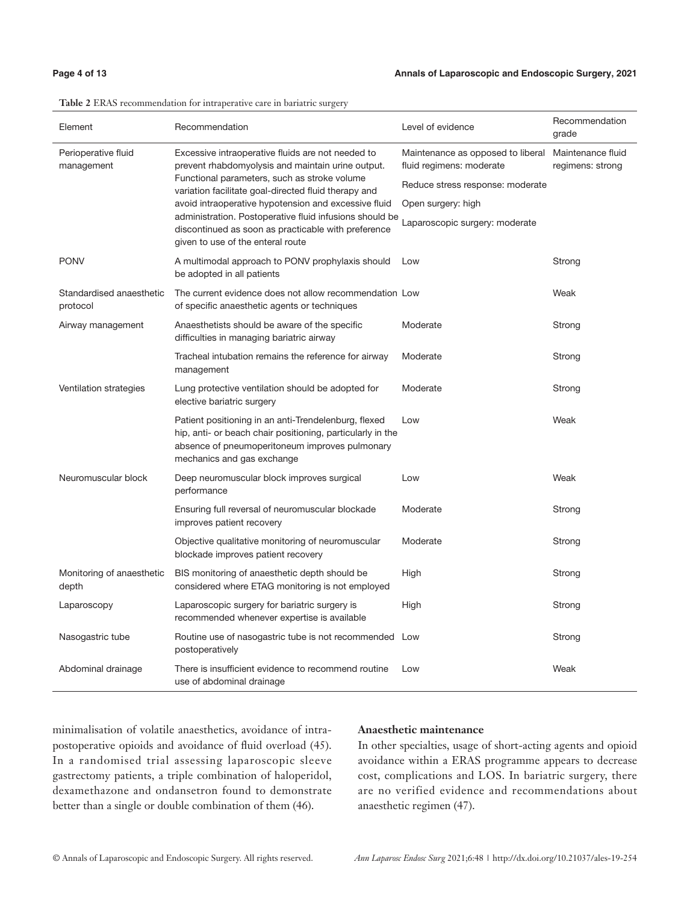### **Page 4 of 13 Annals of Laparoscopic and Endoscopic Surgery, 2021**

| Element                              | Recommendation                                                                                                                                                                                                                                                                                                                                                                                                                | Level of evidence                                             | Recommendation<br>grade               |
|--------------------------------------|-------------------------------------------------------------------------------------------------------------------------------------------------------------------------------------------------------------------------------------------------------------------------------------------------------------------------------------------------------------------------------------------------------------------------------|---------------------------------------------------------------|---------------------------------------|
| Perioperative fluid<br>management    | Excessive intraoperative fluids are not needed to<br>prevent rhabdomyolysis and maintain urine output.<br>Functional parameters, such as stroke volume<br>variation facilitate goal-directed fluid therapy and<br>avoid intraoperative hypotension and excessive fluid<br>administration. Postoperative fluid infusions should be<br>discontinued as soon as practicable with preference<br>given to use of the enteral route | Maintenance as opposed to liberal<br>fluid regimens: moderate | Maintenance fluid<br>regimens: strong |
|                                      |                                                                                                                                                                                                                                                                                                                                                                                                                               | Reduce stress response: moderate                              |                                       |
|                                      |                                                                                                                                                                                                                                                                                                                                                                                                                               | Open surgery: high                                            |                                       |
|                                      |                                                                                                                                                                                                                                                                                                                                                                                                                               | Laparoscopic surgery: moderate                                |                                       |
| <b>PONV</b>                          | A multimodal approach to PONV prophylaxis should<br>be adopted in all patients                                                                                                                                                                                                                                                                                                                                                | Low                                                           | Strong                                |
| Standardised anaesthetic<br>protocol | The current evidence does not allow recommendation Low<br>of specific anaesthetic agents or techniques                                                                                                                                                                                                                                                                                                                        |                                                               | Weak                                  |
| Airway management                    | Anaesthetists should be aware of the specific<br>difficulties in managing bariatric airway                                                                                                                                                                                                                                                                                                                                    | Moderate                                                      | Strong                                |
|                                      | Tracheal intubation remains the reference for airway<br>management                                                                                                                                                                                                                                                                                                                                                            | Moderate                                                      | Strong                                |
| Ventilation strategies               | Lung protective ventilation should be adopted for<br>elective bariatric surgery                                                                                                                                                                                                                                                                                                                                               | Moderate                                                      | Strong                                |
|                                      | Patient positioning in an anti-Trendelenburg, flexed<br>hip, anti- or beach chair positioning, particularly in the<br>absence of pneumoperitoneum improves pulmonary<br>mechanics and gas exchange                                                                                                                                                                                                                            | Low                                                           | Weak                                  |
| Neuromuscular block                  | Deep neuromuscular block improves surgical<br>performance                                                                                                                                                                                                                                                                                                                                                                     | Low                                                           | Weak                                  |
|                                      | Ensuring full reversal of neuromuscular blockade<br>improves patient recovery                                                                                                                                                                                                                                                                                                                                                 | Moderate                                                      | Strong                                |
|                                      | Objective qualitative monitoring of neuromuscular<br>blockade improves patient recovery                                                                                                                                                                                                                                                                                                                                       | Moderate                                                      | Strong                                |
| Monitoring of anaesthetic<br>depth   | BIS monitoring of anaesthetic depth should be<br>considered where ETAG monitoring is not employed                                                                                                                                                                                                                                                                                                                             | High                                                          | Strong                                |
| Laparoscopy                          | Laparoscopic surgery for bariatric surgery is<br>recommended whenever expertise is available                                                                                                                                                                                                                                                                                                                                  | High                                                          | Strong                                |
| Nasogastric tube                     | Routine use of nasogastric tube is not recommended Low<br>postoperatively                                                                                                                                                                                                                                                                                                                                                     |                                                               | Strong                                |
| Abdominal drainage                   | There is insufficient evidence to recommend routine<br>use of abdominal drainage                                                                                                                                                                                                                                                                                                                                              | Low                                                           | Weak                                  |

#### **Table 2** ERAS recommendation for intraperative care in bariatric surgery

minimalisation of volatile anaesthetics, avoidance of intrapostoperative opioids and avoidance of fluid overload (45). In a randomised trial assessing laparoscopic sleeve gastrectomy patients, a triple combination of haloperidol, dexamethazone and ondansetron found to demonstrate better than a single or double combination of them (46).

# **Anaesthetic maintenance**

In other specialties, usage of short-acting agents and opioid avoidance within a ERAS programme appears to decrease cost, complications and LOS. In bariatric surgery, there are no verified evidence and recommendations about anaesthetic regimen (47).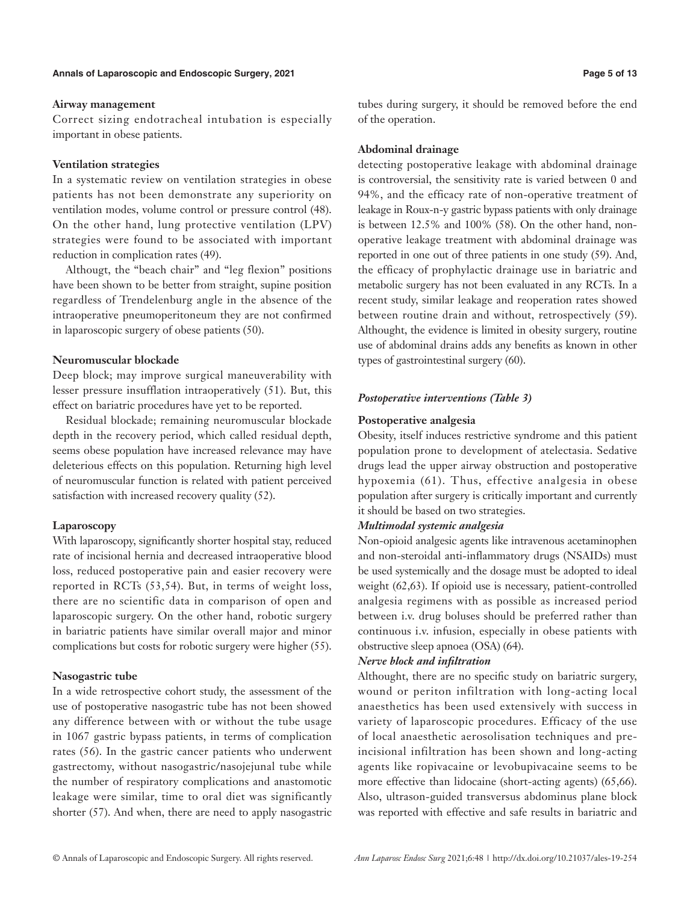### **Airway management**

Correct sizing endotracheal intubation is especially important in obese patients.

# **Ventilation strategies**

In a systematic review on ventilation strategies in obese patients has not been demonstrate any superiority on ventilation modes, volume control or pressure control (48). On the other hand, lung protective ventilation (LPV) strategies were found to be associated with important reduction in complication rates (49).

Althougt, the "beach chair" and "leg flexion" positions have been shown to be better from straight, supine position regardless of Trendelenburg angle in the absence of the intraoperative pneumoperitoneum they are not confirmed in laparoscopic surgery of obese patients (50).

# **Neuromuscular blockade**

Deep block; may improve surgical maneuverability with lesser pressure insufflation intraoperatively (51). But, this effect on bariatric procedures have yet to be reported.

Residual blockade; remaining neuromuscular blockade depth in the recovery period, which called residual depth, seems obese population have increased relevance may have deleterious effects on this population. Returning high level of neuromuscular function is related with patient perceived satisfaction with increased recovery quality (52).

# **Laparoscopy**

With laparoscopy, significantly shorter hospital stay, reduced rate of incisional hernia and decreased intraoperative blood loss, reduced postoperative pain and easier recovery were reported in RCTs (53,54). But, in terms of weight loss, there are no scientific data in comparison of open and laparoscopic surgery. On the other hand, robotic surgery in bariatric patients have similar overall major and minor complications but costs for robotic surgery were higher (55).

# **Nasogastric tube**

In a wide retrospective cohort study, the assessment of the use of postoperative nasogastric tube has not been showed any difference between with or without the tube usage in 1067 gastric bypass patients, in terms of complication rates (56). In the gastric cancer patients who underwent gastrectomy, without nasogastric/nasojejunal tube while the number of respiratory complications and anastomotic leakage were similar, time to oral diet was significantly shorter (57). And when, there are need to apply nasogastric

tubes during surgery, it should be removed before the end of the operation.

# **Abdominal drainage**

detecting postoperative leakage with abdominal drainage is controversial, the sensitivity rate is varied between 0 and 94%, and the efficacy rate of non-operative treatment of leakage in Roux-n-y gastric bypass patients with only drainage is between 12.5% and 100% (58). On the other hand, nonoperative leakage treatment with abdominal drainage was reported in one out of three patients in one study (59). And, the efficacy of prophylactic drainage use in bariatric and metabolic surgery has not been evaluated in any RCTs. In a recent study, similar leakage and reoperation rates showed between routine drain and without, retrospectively (59). Althought, the evidence is limited in obesity surgery, routine use of abdominal drains adds any benefits as known in other types of gastrointestinal surgery (60).

# *Postoperative interventions (Table 3)*

# **Postoperative analgesia**

Obesity, itself induces restrictive syndrome and this patient population prone to development of atelectasia. Sedative drugs lead the upper airway obstruction and postoperative hypoxemia (61). Thus, effective analgesia in obese population after surgery is critically important and currently it should be based on two strategies.

# *Multimodal systemic analgesia*

Non-opioid analgesic agents like intravenous acetaminophen and non-steroidal anti-inflammatory drugs (NSAIDs) must be used systemically and the dosage must be adopted to ideal weight (62,63). If opioid use is necessary, patient-controlled analgesia regimens with as possible as increased period between i.v. drug boluses should be preferred rather than continuous i.v. infusion, especially in obese patients with obstructive sleep apnoea (OSA) (64).

# *Nerve block and infiltration*

Althought, there are no specific study on bariatric surgery, wound or periton infiltration with long-acting local anaesthetics has been used extensively with success in variety of laparoscopic procedures. Efficacy of the use of local anaesthetic aerosolisation techniques and preincisional infiltration has been shown and long-acting agents like ropivacaine or levobupivacaine seems to be more effective than lidocaine (short-acting agents) (65,66). Also, ultrason-guided transversus abdominus plane block was reported with effective and safe results in bariatric and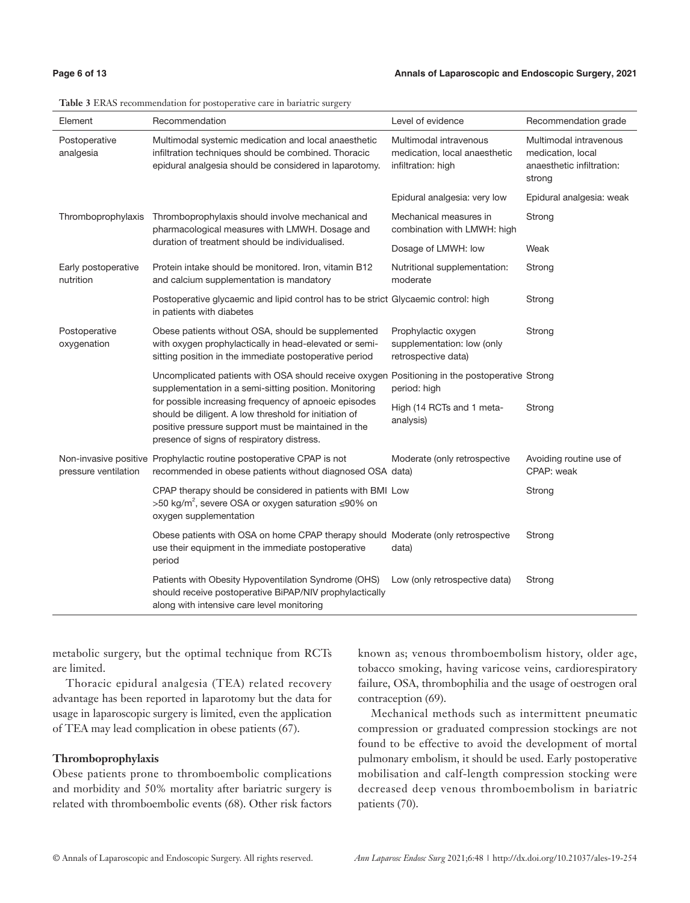| Page 6 of 13 |  |  |  |
|--------------|--|--|--|
|--------------|--|--|--|

| Element                          | Recommendation                                                                                                                                                                                                                                                                                                                                                                 | Level of evidence                                                             | Recommendation grade                                                               |
|----------------------------------|--------------------------------------------------------------------------------------------------------------------------------------------------------------------------------------------------------------------------------------------------------------------------------------------------------------------------------------------------------------------------------|-------------------------------------------------------------------------------|------------------------------------------------------------------------------------|
| Postoperative<br>analgesia       | Multimodal systemic medication and local anaesthetic<br>infiltration techniques should be combined. Thoracic<br>epidural analgesia should be considered in laparotomy.                                                                                                                                                                                                         | Multimodal intravenous<br>medication, local anaesthetic<br>infiltration: high | Multimodal intravenous<br>medication, local<br>anaesthetic infiltration:<br>strong |
|                                  |                                                                                                                                                                                                                                                                                                                                                                                | Epidural analgesia: very low                                                  | Epidural analgesia: weak                                                           |
|                                  | Thromboprophylaxis Thromboprophylaxis should involve mechanical and<br>pharmacological measures with LMWH. Dosage and<br>duration of treatment should be individualised.                                                                                                                                                                                                       | Mechanical measures in<br>combination with LMWH: high                         | Strong                                                                             |
|                                  |                                                                                                                                                                                                                                                                                                                                                                                | Dosage of LMWH: low                                                           | Weak                                                                               |
| Early postoperative<br>nutrition | Protein intake should be monitored. Iron, vitamin B12<br>and calcium supplementation is mandatory                                                                                                                                                                                                                                                                              | Nutritional supplementation:<br>moderate                                      | Strong                                                                             |
|                                  | Postoperative glycaemic and lipid control has to be strict Glycaemic control: high<br>in patients with diabetes                                                                                                                                                                                                                                                                |                                                                               | Strong                                                                             |
| Postoperative<br>oxygenation     | Obese patients without OSA, should be supplemented<br>with oxygen prophylactically in head-elevated or semi-<br>sitting position in the immediate postoperative period                                                                                                                                                                                                         | Prophylactic oxygen<br>supplementation: low (only<br>retrospective data)      | Strong                                                                             |
|                                  | Uncomplicated patients with OSA should receive oxygen Positioning in the postoperative Strong<br>supplementation in a semi-sitting position. Monitoring<br>for possible increasing frequency of apnoeic episodes<br>should be diligent. A low threshold for initiation of<br>positive pressure support must be maintained in the<br>presence of signs of respiratory distress. | period: high                                                                  |                                                                                    |
|                                  |                                                                                                                                                                                                                                                                                                                                                                                | High (14 RCTs and 1 meta-<br>analysis)                                        | Strong                                                                             |
| pressure ventilation             | Non-invasive positive Prophylactic routine postoperative CPAP is not<br>recommended in obese patients without diagnosed OSA data)                                                                                                                                                                                                                                              | Moderate (only retrospective                                                  | Avoiding routine use of<br>CPAP: weak                                              |
|                                  | CPAP therapy should be considered in patients with BMI Low<br>>50 kg/m <sup>2</sup> , severe OSA or oxygen saturation ≤90% on<br>oxygen supplementation                                                                                                                                                                                                                        |                                                                               | Strong                                                                             |
|                                  | Obese patients with OSA on home CPAP therapy should Moderate (only retrospective<br>use their equipment in the immediate postoperative<br>period                                                                                                                                                                                                                               | data)                                                                         | Strong                                                                             |
|                                  | Patients with Obesity Hypoventilation Syndrome (OHS)<br>should receive postoperative BiPAP/NIV prophylactically<br>along with intensive care level monitoring                                                                                                                                                                                                                  | Low (only retrospective data)                                                 | Strong                                                                             |

**Table 3** ERAS recommendation for postoperative care in bariatric surgery

metabolic surgery, but the optimal technique from RCTs are limited.

Thoracic epidural analgesia (TEA) related recovery advantage has been reported in laparotomy but the data for usage in laparoscopic surgery is limited, even the application of TEA may lead complication in obese patients (67).

### **Thromboprophylaxis**

Obese patients prone to thromboembolic complications and morbidity and 50% mortality after bariatric surgery is related with thromboembolic events (68). Other risk factors

known as; venous thromboembolism history, older age, tobacco smoking, having varicose veins, cardiorespiratory failure, OSA, thrombophilia and the usage of oestrogen oral contraception (69).

Mechanical methods such as intermittent pneumatic compression or graduated compression stockings are not found to be effective to avoid the development of mortal pulmonary embolism, it should be used. Early postoperative mobilisation and calf-length compression stocking were decreased deep venous thromboembolism in bariatric patients (70).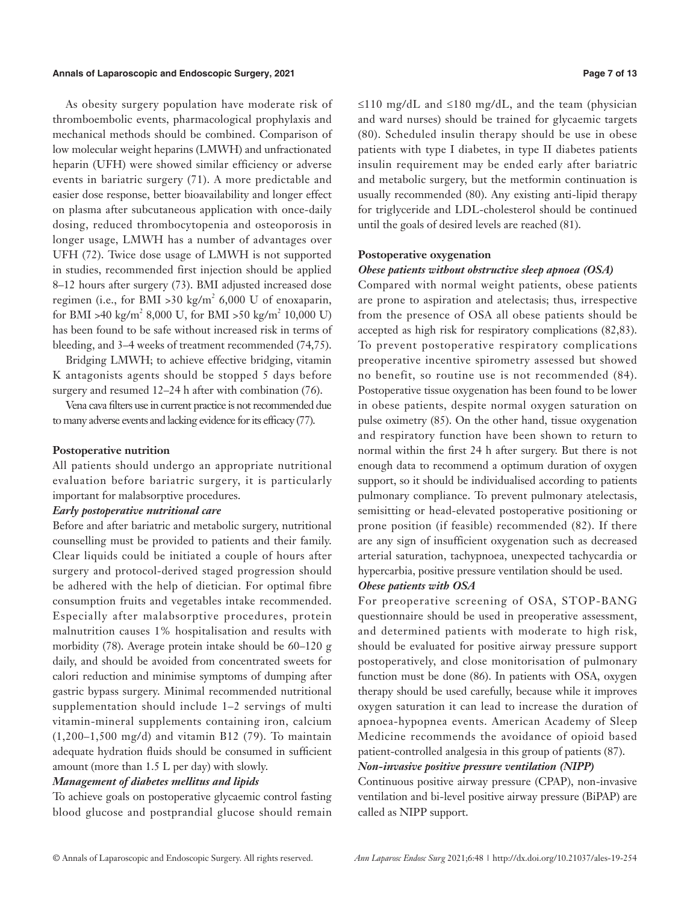#### **Annals of Laparoscopic and Endoscopic Surgery, 2021 Page 7 of 13**

As obesity surgery population have moderate risk of thromboembolic events, pharmacological prophylaxis and mechanical methods should be combined. Comparison of low molecular weight heparins (LMWH) and unfractionated heparin (UFH) were showed similar efficiency or adverse events in bariatric surgery (71). A more predictable and easier dose response, better bioavailability and longer effect on plasma after subcutaneous application with once-daily dosing, reduced thrombocytopenia and osteoporosis in longer usage, LMWH has a number of advantages over UFH (72). Twice dose usage of LMWH is not supported in studies, recommended first injection should be applied 8–12 hours after surgery (73). BMI adjusted increased dose regimen (i.e., for BMI >30 kg/m<sup>2</sup> 6,000 U of enoxaparin, for BMI >40 kg/m<sup>2</sup> 8,000 U, for BMI >50 kg/m<sup>2</sup> 10,000 U) has been found to be safe without increased risk in terms of bleeding, and 3–4 weeks of treatment recommended (74,75).

Bridging LMWH; to achieve effective bridging, vitamin K antagonists agents should be stopped 5 days before surgery and resumed 12–24 h after with combination (76).

Vena cava filters use in current practice is not recommended due to many adverse events and lacking evidence for its efficacy (77).

#### **Postoperative nutrition**

All patients should undergo an appropriate nutritional evaluation before bariatric surgery, it is particularly important for malabsorptive procedures.

#### *Early postoperative nutritional care*

Before and after bariatric and metabolic surgery, nutritional counselling must be provided to patients and their family. Clear liquids could be initiated a couple of hours after surgery and protocol-derived staged progression should be adhered with the help of dietician. For optimal fibre consumption fruits and vegetables intake recommended. Especially after malabsorptive procedures, protein malnutrition causes 1% hospitalisation and results with morbidity (78). Average protein intake should be 60–120 g daily, and should be avoided from concentrated sweets for calori reduction and minimise symptoms of dumping after gastric bypass surgery. Minimal recommended nutritional supplementation should include 1–2 servings of multi vitamin-mineral supplements containing iron, calcium (1,200–1,500 mg/d) and vitamin B12 (79). To maintain adequate hydration fluids should be consumed in sufficient amount (more than 1.5 L per day) with slowly.

# *Management of diabetes mellitus and lipids*

To achieve goals on postoperative glycaemic control fasting blood glucose and postprandial glucose should remain ≤110 mg/dL and ≤180 mg/dL, and the team (physician and ward nurses) should be trained for glycaemic targets (80). Scheduled insulin therapy should be use in obese patients with type I diabetes, in type II diabetes patients insulin requirement may be ended early after bariatric and metabolic surgery, but the metformin continuation is usually recommended (80). Any existing anti-lipid therapy for triglyceride and LDL-cholesterol should be continued until the goals of desired levels are reached (81).

#### **Postoperative oxygenation**

#### *Obese patients without obstructive sleep apnoea (OSA)*

Compared with normal weight patients, obese patients are prone to aspiration and atelectasis; thus, irrespective from the presence of OSA all obese patients should be accepted as high risk for respiratory complications (82,83). To prevent postoperative respiratory complications preoperative incentive spirometry assessed but showed no benefit, so routine use is not recommended (84). Postoperative tissue oxygenation has been found to be lower in obese patients, despite normal oxygen saturation on pulse oximetry (85). On the other hand, tissue oxygenation and respiratory function have been shown to return to normal within the first 24 h after surgery. But there is not enough data to recommend a optimum duration of oxygen support, so it should be individualised according to patients pulmonary compliance. To prevent pulmonary atelectasis, semisitting or head-elevated postoperative positioning or prone position (if feasible) recommended (82). If there are any sign of insufficient oxygenation such as decreased arterial saturation, tachypnoea, unexpected tachycardia or hypercarbia, positive pressure ventilation should be used.

### *Obese patients with OSA*

For preoperative screening of OSA, STOP-BANG questionnaire should be used in preoperative assessment, and determined patients with moderate to high risk, should be evaluated for positive airway pressure support postoperatively, and close monitorisation of pulmonary function must be done (86). In patients with OSA, oxygen therapy should be used carefully, because while it improves oxygen saturation it can lead to increase the duration of apnoea-hypopnea events. American Academy of Sleep Medicine recommends the avoidance of opioid based patient-controlled analgesia in this group of patients (87).

# *Non-invasive positive pressure ventilation (NIPP)*

Continuous positive airway pressure (CPAP), non-invasive ventilation and bi-level positive airway pressure (BiPAP) are called as NIPP support.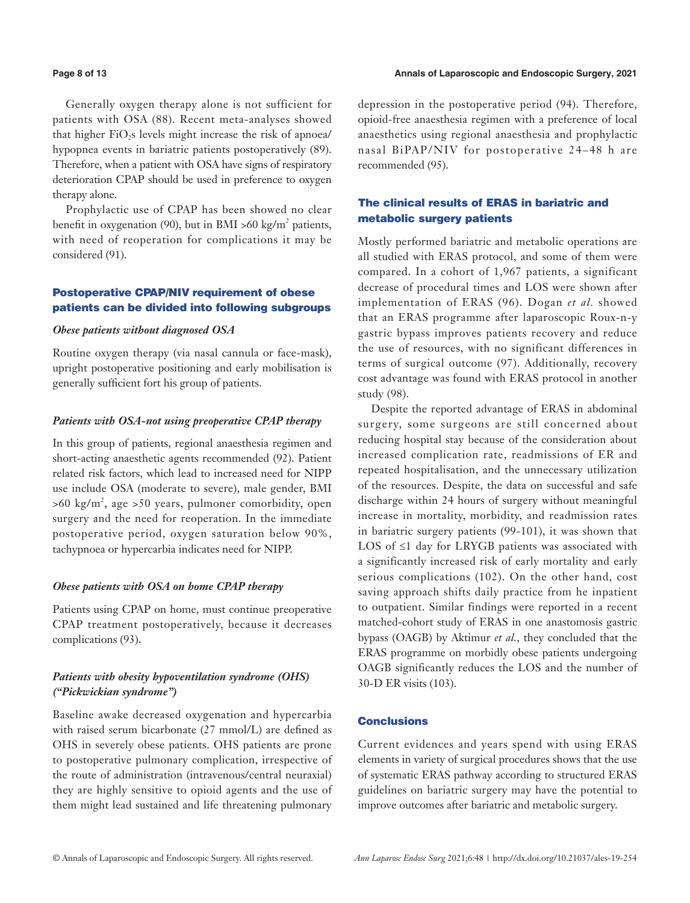#### **Page 8 of 13 Annals of Laparoscopic and Endoscopic Surgery, 2021**

Generally oxygen therapy alone is not sufficient for patients with OSA (88). Recent meta-analyses showed that higher FiO<sub>2</sub>s levels might increase the risk of apnoea/ hypopnea events in bariatric patients postoperatively (89). Therefore, when a patient with OSA have signs of respiratory deterioration CPAP should be used in preference to oxygen therapy alone.

Prophylactic use of CPAP has been showed no clear benefit in oxygenation (90), but in BMI >60 kg/m<sup>2</sup> patients, with need of reoperation for complications it may be considered (91).

# Postoperative CPAP/NIV requirement of obese patients can be divided into following subgroups

#### *Obese patients without diagnosed OSA*

Routine oxygen therapy (via nasal cannula or face-mask), upright postoperative positioning and early mobilisation is generally sufficient fort his group of patients.

#### *Patients with OSA-not using preoperative CPAP therapy*

In this group of patients, regional anaesthesia regimen and short-acting anaesthetic agents recommended (92). Patient related risk factors, which lead to increased need for NIPP use include OSA (moderate to severe), male gender, BMI  $>60 \text{ kg/m}^2$ , age  $>50 \text{ years}$ , pulmoner comorbidity, open surgery and the need for reoperation. In the immediate postoperative period, oxygen saturation below 90%, tachypnoea or hypercarbia indicates need for NIPP.

#### *Obese patients with OSA on home CPAP therapy*

Patients using CPAP on home, must continue preoperative CPAP treatment postoperatively, because it decreases complications (93).

# *Patients with obesity hypoventilation syndrome (OHS) ("Pickwickian syndrome")*

Baseline awake decreased oxygenation and hypercarbia with raised serum bicarbonate (27 mmol/L) are defined as OHS in severely obese patients. OHS patients are prone to postoperative pulmonary complication, irrespective of the route of administration (intravenous/central neuraxial) they are highly sensitive to opioid agents and the use of them might lead sustained and life threatening pulmonary depression in the postoperative period (94). Therefore, opioid-free anaesthesia regimen with a preference of local anaesthetics using regional anaesthesia and prophylactic nasal BiPAP/NIV for postoperative 24–48 h are recommended (95).

# The clinical results of ERAS in bariatric and metabolic surgery patients

Mostly performed bariatric and metabolic operations are all studied with ERAS protocol, and some of them were compared. In a cohort of 1,967 patients, a significant decrease of procedural times and LOS were shown after implementation of ERAS (96). Dogan *et al.* showed that an ERAS programme after laparoscopic Roux-n-y gastric bypass improves patients recovery and reduce the use of resources, with no significant differences in terms of surgical outcome (97). Additionally, recovery cost advantage was found with ERAS protocol in another study (98).

Despite the reported advantage of ERAS in abdominal surgery, some surgeons are still concerned about reducing hospital stay because of the consideration about increased complication rate, readmissions of ER and repeated hospitalisation, and the unnecessary utilization of the resources. Despite, the data on successful and safe discharge within 24 hours of surgery without meaningful increase in mortality, morbidity, and readmission rates in bariatric surgery patients (99-101), it was shown that LOS of ≤1 day for LRYGB patients was associated with a significantly increased risk of early mortality and early serious complications (102). On the other hand, cost saving approach shifts daily practice from he inpatient to outpatient. Similar findings were reported in a recent matched-cohort study of ERAS in one anastomosis gastric bypass (OAGB) by Aktimur *et al.*, they concluded that the ERAS programme on morbidly obese patients undergoing OAGB significantly reduces the LOS and the number of 30-D ER visits (103).

# **Conclusions**

Current evidences and years spend with using ERAS elements in variety of surgical procedures shows that the use of systematic ERAS pathway according to structured ERAS guidelines on bariatric surgery may have the potential to improve outcomes after bariatric and metabolic surgery.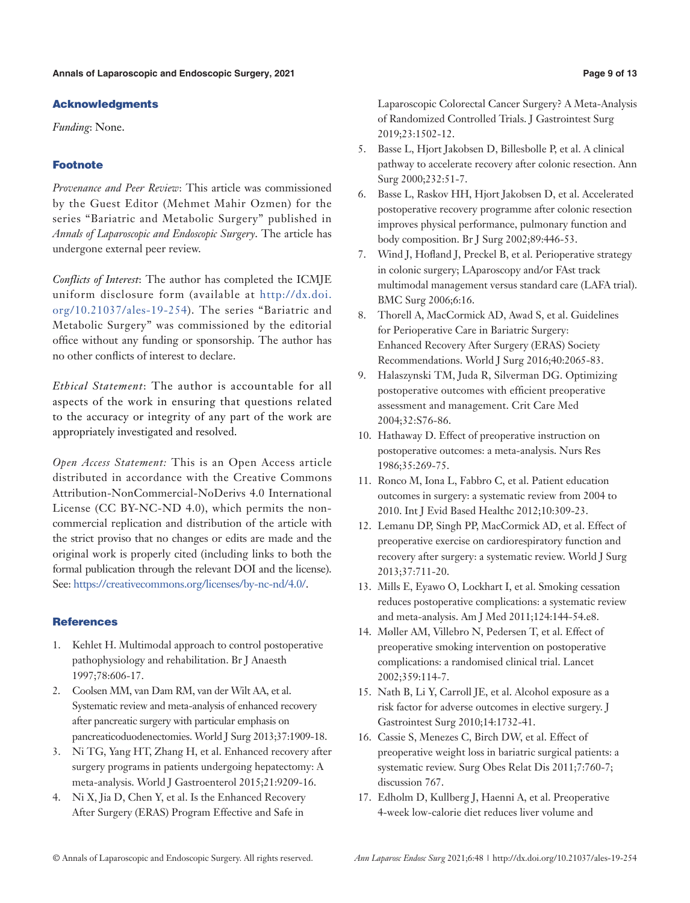# Acknowledgments

*Funding*: None.

# Footnote

*Provenance and Peer Review*: This article was commissioned by the Guest Editor (Mehmet Mahir Ozmen) for the series "Bariatric and Metabolic Surgery" published in *Annals of Laparoscopic and Endoscopic Surgery*. The article has undergone external peer review.

*Conflicts of Interest*: The author has completed the ICMJE uniform disclosure form (available at [http://dx.doi.](http://dx.doi.org/10.21037/ales-19-254) [org/10.21037/ales-19-254\)](http://dx.doi.org/10.21037/ales-19-254). The series "Bariatric and Metabolic Surgery" was commissioned by the editorial office without any funding or sponsorship. The author has no other conflicts of interest to declare.

*Ethical Statement*: The author is accountable for all aspects of the work in ensuring that questions related to the accuracy or integrity of any part of the work are appropriately investigated and resolved.

*Open Access Statement:* This is an Open Access article distributed in accordance with the Creative Commons Attribution-NonCommercial-NoDerivs 4.0 International License (CC BY-NC-ND 4.0), which permits the noncommercial replication and distribution of the article with the strict proviso that no changes or edits are made and the original work is properly cited (including links to both the formal publication through the relevant DOI and the license). See: [https://creativecommons.org/licenses/by-nc-nd/4.0/.](https://creativecommons.org/licenses/by-nc-nd/4.0/)

# **References**

- 1. Kehlet H. Multimodal approach to control postoperative pathophysiology and rehabilitation. Br J Anaesth 1997;78:606-17.
- 2. Coolsen MM, van Dam RM, van der Wilt AA, et al. Systematic review and meta-analysis of enhanced recovery after pancreatic surgery with particular emphasis on pancreaticoduodenectomies. World J Surg 2013;37:1909-18.
- 3. Ni TG, Yang HT, Zhang H, et al. Enhanced recovery after surgery programs in patients undergoing hepatectomy: A meta-analysis. World J Gastroenterol 2015;21:9209-16.
- 4. Ni X, Jia D, Chen Y, et al. Is the Enhanced Recovery After Surgery (ERAS) Program Effective and Safe in

Laparoscopic Colorectal Cancer Surgery? A Meta-Analysis of Randomized Controlled Trials. J Gastrointest Surg 2019;23:1502-12.

- 5. Basse L, Hjort Jakobsen D, Billesbolle P, et al. A clinical pathway to accelerate recovery after colonic resection. Ann Surg 2000;232:51-7.
- 6. Basse L, Raskov HH, Hjort Jakobsen D, et al. Accelerated postoperative recovery programme after colonic resection improves physical performance, pulmonary function and body composition. Br J Surg 2002;89:446-53.
- 7. Wind J, Hofland J, Preckel B, et al. Perioperative strategy in colonic surgery; LAparoscopy and/or FAst track multimodal management versus standard care (LAFA trial). BMC Surg 2006;6:16.
- 8. Thorell A, MacCormick AD, Awad S, et al. Guidelines for Perioperative Care in Bariatric Surgery: Enhanced Recovery After Surgery (ERAS) Society Recommendations. World J Surg 2016;40:2065-83.
- 9. Halaszynski TM, Juda R, Silverman DG. Optimizing postoperative outcomes with efficient preoperative assessment and management. Crit Care Med 2004;32:S76-86.
- 10. Hathaway D. Effect of preoperative instruction on postoperative outcomes: a meta-analysis. Nurs Res 1986;35:269-75.
- 11. Ronco M, Iona L, Fabbro C, et al. Patient education outcomes in surgery: a systematic review from 2004 to 2010. Int J Evid Based Healthc 2012;10:309-23.
- 12. Lemanu DP, Singh PP, MacCormick AD, et al. Effect of preoperative exercise on cardiorespiratory function and recovery after surgery: a systematic review. World J Surg 2013;37:711-20.
- 13. Mills E, Eyawo O, Lockhart I, et al. Smoking cessation reduces postoperative complications: a systematic review and meta-analysis. Am J Med 2011;124:144-54.e8.
- 14. Møller AM, Villebro N, Pedersen T, et al. Effect of preoperative smoking intervention on postoperative complications: a randomised clinical trial. Lancet 2002;359:114-7.
- 15. Nath B, Li Y, Carroll JE, et al. Alcohol exposure as a risk factor for adverse outcomes in elective surgery. J Gastrointest Surg 2010;14:1732-41.
- 16. Cassie S, Menezes C, Birch DW, et al. Effect of preoperative weight loss in bariatric surgical patients: a systematic review. Surg Obes Relat Dis 2011;7:760-7; discussion 767.
- 17. Edholm D, Kullberg J, Haenni A, et al. Preoperative 4-week low-calorie diet reduces liver volume and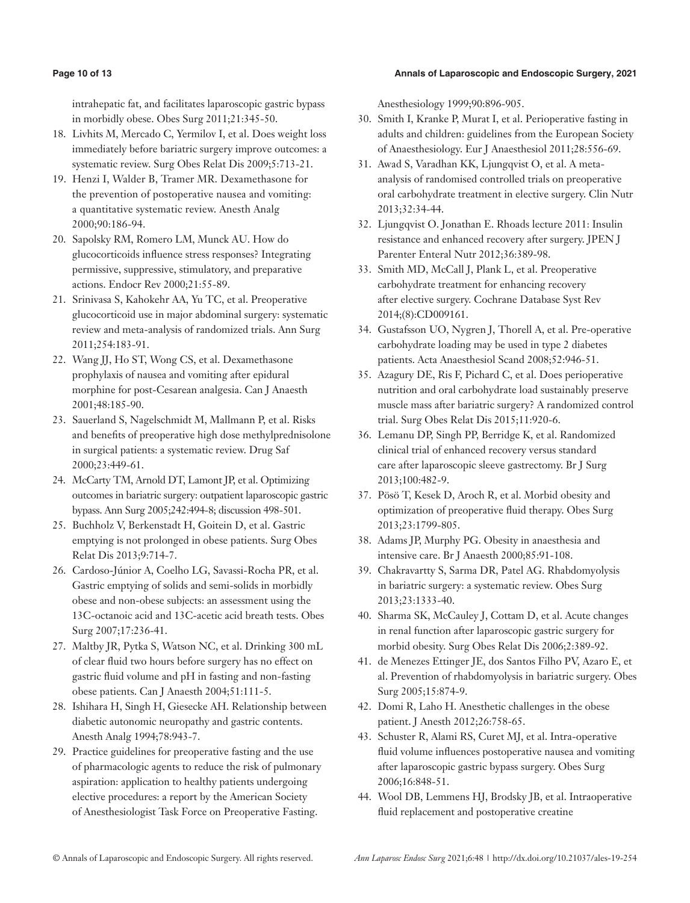# **Page 10 of 13 Annals of Laparoscopic and Endoscopic Surgery, 2021**

intrahepatic fat, and facilitates laparoscopic gastric bypass in morbidly obese. Obes Surg 2011;21:345-50.

- 18. Livhits M, Mercado C, Yermilov I, et al. Does weight loss immediately before bariatric surgery improve outcomes: a systematic review. Surg Obes Relat Dis 2009;5:713-21.
- 19. Henzi I, Walder B, Tramer MR. Dexamethasone for the prevention of postoperative nausea and vomiting: a quantitative systematic review. Anesth Analg 2000;90:186-94.
- 20. Sapolsky RM, Romero LM, Munck AU. How do glucocorticoids influence stress responses? Integrating permissive, suppressive, stimulatory, and preparative actions. Endocr Rev 2000;21:55-89.
- 21. Srinivasa S, Kahokehr AA, Yu TC, et al. Preoperative glucocorticoid use in major abdominal surgery: systematic review and meta-analysis of randomized trials. Ann Surg 2011;254:183-91.
- 22. Wang JJ, Ho ST, Wong CS, et al. Dexamethasone prophylaxis of nausea and vomiting after epidural morphine for post-Cesarean analgesia. Can J Anaesth 2001;48:185-90.
- 23. Sauerland S, Nagelschmidt M, Mallmann P, et al. Risks and benefits of preoperative high dose methylprednisolone in surgical patients: a systematic review. Drug Saf 2000;23:449-61.
- 24. McCarty TM, Arnold DT, Lamont JP, et al. Optimizing outcomes in bariatric surgery: outpatient laparoscopic gastric bypass. Ann Surg 2005;242:494-8; discussion 498-501.
- 25. Buchholz V, Berkenstadt H, Goitein D, et al. Gastric emptying is not prolonged in obese patients. Surg Obes Relat Dis 2013;9:714-7.
- 26. Cardoso-Júnior A, Coelho LG, Savassi-Rocha PR, et al. Gastric emptying of solids and semi-solids in morbidly obese and non-obese subjects: an assessment using the 13C-octanoic acid and 13C-acetic acid breath tests. Obes Surg 2007;17:236-41.
- 27. Maltby JR, Pytka S, Watson NC, et al. Drinking 300 mL of clear fluid two hours before surgery has no effect on gastric fluid volume and pH in fasting and non-fasting obese patients. Can J Anaesth 2004;51:111-5.
- 28. Ishihara H, Singh H, Giesecke AH. Relationship between diabetic autonomic neuropathy and gastric contents. Anesth Analg 1994;78:943-7.
- 29. Practice guidelines for preoperative fasting and the use of pharmacologic agents to reduce the risk of pulmonary aspiration: application to healthy patients undergoing elective procedures: a report by the American Society of Anesthesiologist Task Force on Preoperative Fasting.

Anesthesiology 1999;90:896-905.

- 30. Smith I, Kranke P, Murat I, et al. Perioperative fasting in adults and children: guidelines from the European Society of Anaesthesiology. Eur J Anaesthesiol 2011;28:556-69.
- 31. Awad S, Varadhan KK, Ljungqvist O, et al. A metaanalysis of randomised controlled trials on preoperative oral carbohydrate treatment in elective surgery. Clin Nutr 2013;32:34-44.
- 32. Ljungqvist O. Jonathan E. Rhoads lecture 2011: Insulin resistance and enhanced recovery after surgery. JPEN J Parenter Enteral Nutr 2012;36:389-98.
- 33. Smith MD, McCall J, Plank L, et al. Preoperative carbohydrate treatment for enhancing recovery after elective surgery. Cochrane Database Syst Rev 2014;(8):CD009161.
- 34. Gustafsson UO, Nygren J, Thorell A, et al. Pre-operative carbohydrate loading may be used in type 2 diabetes patients. Acta Anaesthesiol Scand 2008;52:946-51.
- 35. Azagury DE, Ris F, Pichard C, et al. Does perioperative nutrition and oral carbohydrate load sustainably preserve muscle mass after bariatric surgery? A randomized control trial. Surg Obes Relat Dis 2015;11:920-6.
- 36. Lemanu DP, Singh PP, Berridge K, et al. Randomized clinical trial of enhanced recovery versus standard care after laparoscopic sleeve gastrectomy. Br J Surg 2013;100:482-9.
- 37. Pösö T, Kesek D, Aroch R, et al. Morbid obesity and optimization of preoperative fluid therapy. Obes Surg 2013;23:1799-805.
- 38. Adams JP, Murphy PG. Obesity in anaesthesia and intensive care. Br J Anaesth 2000;85:91-108.
- 39. Chakravartty S, Sarma DR, Patel AG. Rhabdomyolysis in bariatric surgery: a systematic review. Obes Surg 2013;23:1333-40.
- 40. Sharma SK, McCauley J, Cottam D, et al. Acute changes in renal function after laparoscopic gastric surgery for morbid obesity. Surg Obes Relat Dis 2006;2:389-92.
- 41. de Menezes Ettinger JE, dos Santos Filho PV, Azaro E, et al. Prevention of rhabdomyolysis in bariatric surgery. Obes Surg 2005;15:874-9.
- 42. Domi R, Laho H. Anesthetic challenges in the obese patient. J Anesth 2012;26:758-65.
- 43. Schuster R, Alami RS, Curet MJ, et al. Intra-operative fluid volume influences postoperative nausea and vomiting after laparoscopic gastric bypass surgery. Obes Surg 2006;16:848-51.
- 44. Wool DB, Lemmens HJ, Brodsky JB, et al. Intraoperative fluid replacement and postoperative creatine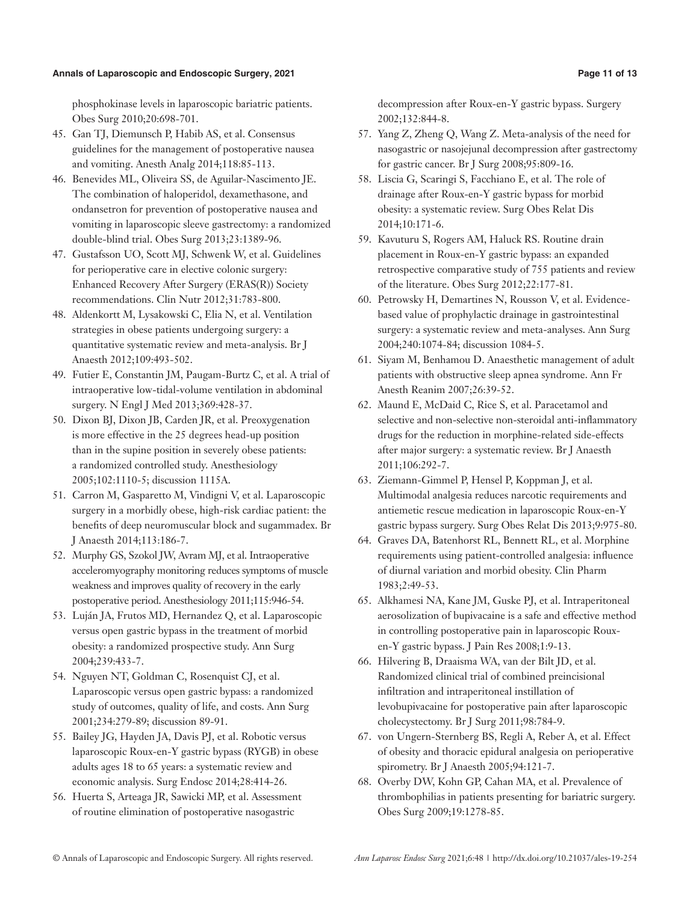#### **Annals of Laparoscopic and Endoscopic Surgery, 2021 Page 11 of 13**

phosphokinase levels in laparoscopic bariatric patients. Obes Surg 2010;20:698-701.

- 45. Gan TJ, Diemunsch P, Habib AS, et al. Consensus guidelines for the management of postoperative nausea and vomiting. Anesth Analg 2014;118:85-113.
- 46. Benevides ML, Oliveira SS, de Aguilar-Nascimento JE. The combination of haloperidol, dexamethasone, and ondansetron for prevention of postoperative nausea and vomiting in laparoscopic sleeve gastrectomy: a randomized double-blind trial. Obes Surg 2013;23:1389-96.
- 47. Gustafsson UO, Scott MJ, Schwenk W, et al. Guidelines for perioperative care in elective colonic surgery: Enhanced Recovery After Surgery (ERAS(R)) Society recommendations. Clin Nutr 2012;31:783-800.
- 48. Aldenkortt M, Lysakowski C, Elia N, et al. Ventilation strategies in obese patients undergoing surgery: a quantitative systematic review and meta-analysis. Br J Anaesth 2012;109:493-502.
- 49. Futier E, Constantin JM, Paugam-Burtz C, et al. A trial of intraoperative low-tidal-volume ventilation in abdominal surgery. N Engl J Med 2013;369:428-37.
- 50. Dixon BJ, Dixon JB, Carden JR, et al. Preoxygenation is more effective in the 25 degrees head-up position than in the supine position in severely obese patients: a randomized controlled study. Anesthesiology 2005;102:1110-5; discussion 1115A.
- 51. Carron M, Gasparetto M, Vindigni V, et al. Laparoscopic surgery in a morbidly obese, high-risk cardiac patient: the benefits of deep neuromuscular block and sugammadex. Br J Anaesth 2014;113:186-7.
- 52. Murphy GS, Szokol JW, Avram MJ, et al. Intraoperative acceleromyography monitoring reduces symptoms of muscle weakness and improves quality of recovery in the early postoperative period. Anesthesiology 2011;115:946-54.
- 53. Luján JA, Frutos MD, Hernandez Q, et al. Laparoscopic versus open gastric bypass in the treatment of morbid obesity: a randomized prospective study. Ann Surg 2004;239:433-7.
- 54. Nguyen NT, Goldman C, Rosenquist CJ, et al. Laparoscopic versus open gastric bypass: a randomized study of outcomes, quality of life, and costs. Ann Surg 2001;234:279-89; discussion 89-91.
- 55. Bailey JG, Hayden JA, Davis PJ, et al. Robotic versus laparoscopic Roux-en-Y gastric bypass (RYGB) in obese adults ages 18 to 65 years: a systematic review and economic analysis. Surg Endosc 2014;28:414-26.
- 56. Huerta S, Arteaga JR, Sawicki MP, et al. Assessment of routine elimination of postoperative nasogastric

decompression after Roux-en-Y gastric bypass. Surgery 2002;132:844-8.

- 57. Yang Z, Zheng Q, Wang Z. Meta-analysis of the need for nasogastric or nasojejunal decompression after gastrectomy for gastric cancer. Br J Surg 2008;95:809-16.
- 58. Liscia G, Scaringi S, Facchiano E, et al. The role of drainage after Roux-en-Y gastric bypass for morbid obesity: a systematic review. Surg Obes Relat Dis 2014;10:171-6.
- 59. Kavuturu S, Rogers AM, Haluck RS. Routine drain placement in Roux-en-Y gastric bypass: an expanded retrospective comparative study of 755 patients and review of the literature. Obes Surg 2012;22:177-81.
- 60. Petrowsky H, Demartines N, Rousson V, et al. Evidencebased value of prophylactic drainage in gastrointestinal surgery: a systematic review and meta-analyses. Ann Surg 2004;240:1074-84; discussion 1084-5.
- 61. Siyam M, Benhamou D. Anaesthetic management of adult patients with obstructive sleep apnea syndrome. Ann Fr Anesth Reanim 2007;26:39-52.
- 62. Maund E, McDaid C, Rice S, et al. Paracetamol and selective and non-selective non-steroidal anti-inflammatory drugs for the reduction in morphine-related side-effects after major surgery: a systematic review. Br J Anaesth 2011;106:292-7.
- 63. Ziemann-Gimmel P, Hensel P, Koppman J, et al. Multimodal analgesia reduces narcotic requirements and antiemetic rescue medication in laparoscopic Roux-en-Y gastric bypass surgery. Surg Obes Relat Dis 2013;9:975-80.
- 64. Graves DA, Batenhorst RL, Bennett RL, et al. Morphine requirements using patient-controlled analgesia: influence of diurnal variation and morbid obesity. Clin Pharm 1983;2:49-53.
- 65. Alkhamesi NA, Kane JM, Guske PJ, et al. Intraperitoneal aerosolization of bupivacaine is a safe and effective method in controlling postoperative pain in laparoscopic Rouxen-Y gastric bypass. J Pain Res 2008;1:9-13.
- 66. Hilvering B, Draaisma WA, van der Bilt JD, et al. Randomized clinical trial of combined preincisional infiltration and intraperitoneal instillation of levobupivacaine for postoperative pain after laparoscopic cholecystectomy. Br J Surg 2011;98:784-9.
- 67. von Ungern-Sternberg BS, Regli A, Reber A, et al. Effect of obesity and thoracic epidural analgesia on perioperative spirometry. Br J Anaesth 2005;94:121-7.
- 68. Overby DW, Kohn GP, Cahan MA, et al. Prevalence of thrombophilias in patients presenting for bariatric surgery. Obes Surg 2009;19:1278-85.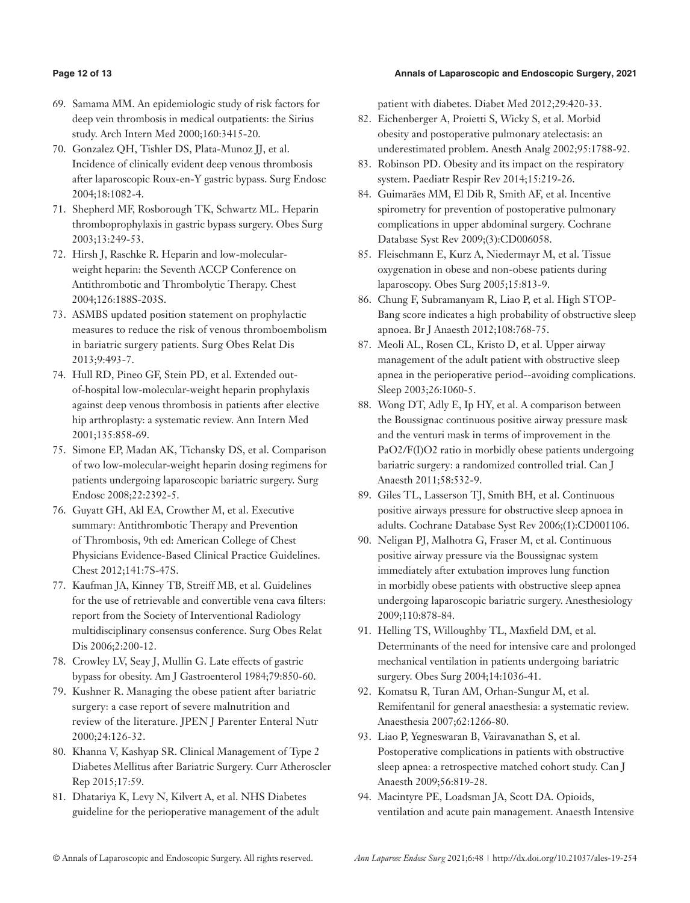# **Page 12 of 13 Annals of Laparoscopic and Endoscopic Surgery, 2021**

- 69. Samama MM. An epidemiologic study of risk factors for deep vein thrombosis in medical outpatients: the Sirius study. Arch Intern Med 2000;160:3415-20.
- 70. Gonzalez QH, Tishler DS, Plata-Munoz JJ, et al. Incidence of clinically evident deep venous thrombosis after laparoscopic Roux-en-Y gastric bypass. Surg Endosc 2004;18:1082-4.
- 71. Shepherd MF, Rosborough TK, Schwartz ML. Heparin thromboprophylaxis in gastric bypass surgery. Obes Surg 2003;13:249-53.
- 72. Hirsh J, Raschke R. Heparin and low-molecularweight heparin: the Seventh ACCP Conference on Antithrombotic and Thrombolytic Therapy. Chest 2004;126:188S-203S.
- 73. ASMBS updated position statement on prophylactic measures to reduce the risk of venous thromboembolism in bariatric surgery patients. Surg Obes Relat Dis 2013;9:493-7.
- 74. Hull RD, Pineo GF, Stein PD, et al. Extended outof-hospital low-molecular-weight heparin prophylaxis against deep venous thrombosis in patients after elective hip arthroplasty: a systematic review. Ann Intern Med 2001;135:858-69.
- 75. Simone EP, Madan AK, Tichansky DS, et al. Comparison of two low-molecular-weight heparin dosing regimens for patients undergoing laparoscopic bariatric surgery. Surg Endosc 2008;22:2392-5.
- 76. Guyatt GH, Akl EA, Crowther M, et al. Executive summary: Antithrombotic Therapy and Prevention of Thrombosis, 9th ed: American College of Chest Physicians Evidence-Based Clinical Practice Guidelines. Chest 2012;141:7S-47S.
- 77. Kaufman JA, Kinney TB, Streiff MB, et al. Guidelines for the use of retrievable and convertible vena cava filters: report from the Society of Interventional Radiology multidisciplinary consensus conference. Surg Obes Relat Dis 2006;2:200-12.
- 78. Crowley LV, Seay J, Mullin G. Late effects of gastric bypass for obesity. Am J Gastroenterol 1984;79:850-60.
- 79. Kushner R. Managing the obese patient after bariatric surgery: a case report of severe malnutrition and review of the literature. JPEN J Parenter Enteral Nutr 2000;24:126-32.
- 80. Khanna V, Kashyap SR. Clinical Management of Type 2 Diabetes Mellitus after Bariatric Surgery. Curr Atheroscler Rep 2015;17:59.
- 81. Dhatariya K, Levy N, Kilvert A, et al. NHS Diabetes guideline for the perioperative management of the adult

patient with diabetes. Diabet Med 2012;29:420-33.

- 82. Eichenberger A, Proietti S, Wicky S, et al. Morbid obesity and postoperative pulmonary atelectasis: an underestimated problem. Anesth Analg 2002;95:1788-92.
- 83. Robinson PD. Obesity and its impact on the respiratory system. Paediatr Respir Rev 2014;15:219-26.
- 84. Guimarães MM, El Dib R, Smith AF, et al. Incentive spirometry for prevention of postoperative pulmonary complications in upper abdominal surgery. Cochrane Database Syst Rev 2009;(3):CD006058.
- 85. Fleischmann E, Kurz A, Niedermayr M, et al. Tissue oxygenation in obese and non-obese patients during laparoscopy. Obes Surg 2005;15:813-9.
- 86. Chung F, Subramanyam R, Liao P, et al. High STOP-Bang score indicates a high probability of obstructive sleep apnoea. Br J Anaesth 2012;108:768-75.
- 87. Meoli AL, Rosen CL, Kristo D, et al. Upper airway management of the adult patient with obstructive sleep apnea in the perioperative period--avoiding complications. Sleep 2003;26:1060-5.
- 88. Wong DT, Adly E, Ip HY, et al. A comparison between the Boussignac continuous positive airway pressure mask and the venturi mask in terms of improvement in the PaO2/F(I)O2 ratio in morbidly obese patients undergoing bariatric surgery: a randomized controlled trial. Can J Anaesth 2011;58:532-9.
- 89. Giles TL, Lasserson TJ, Smith BH, et al. Continuous positive airways pressure for obstructive sleep apnoea in adults. Cochrane Database Syst Rev 2006;(1):CD001106.
- 90. Neligan PJ, Malhotra G, Fraser M, et al. Continuous positive airway pressure via the Boussignac system immediately after extubation improves lung function in morbidly obese patients with obstructive sleep apnea undergoing laparoscopic bariatric surgery. Anesthesiology 2009;110:878-84.
- 91. Helling TS, Willoughby TL, Maxfield DM, et al. Determinants of the need for intensive care and prolonged mechanical ventilation in patients undergoing bariatric surgery. Obes Surg 2004;14:1036-41.
- 92. Komatsu R, Turan AM, Orhan-Sungur M, et al. Remifentanil for general anaesthesia: a systematic review. Anaesthesia 2007;62:1266-80.
- 93. Liao P, Yegneswaran B, Vairavanathan S, et al. Postoperative complications in patients with obstructive sleep apnea: a retrospective matched cohort study. Can J Anaesth 2009;56:819-28.
- 94. Macintyre PE, Loadsman JA, Scott DA. Opioids, ventilation and acute pain management. Anaesth Intensive